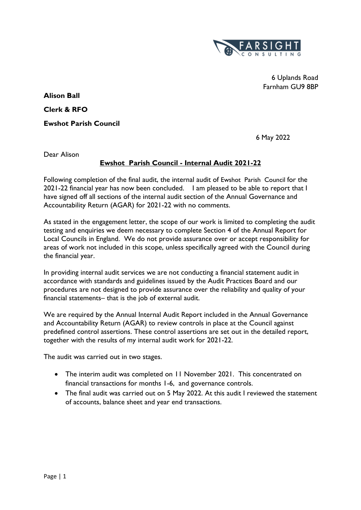

 6 Uplands Road Farnham GU9 8BP

**Alison Ball Clerk & RFO Ewshot Parish Council**

6 May 2022

Dear Alison

# **Ewshot Parish Council - Internal Audit 2021-22**

Following completion of the final audit, the internal audit of Ewshot Parish Council for the 2021-22 financial year has now been concluded. I am pleased to be able to report that I have signed off all sections of the internal audit section of the Annual Governance and Accountability Return (AGAR) for 2021-22 with no comments.

As stated in the engagement letter, the scope of our work is limited to completing the audit testing and enquiries we deem necessary to complete Section 4 of the Annual Report for Local Councils in England. We do not provide assurance over or accept responsibility for areas of work not included in this scope, unless specifically agreed with the Council during the financial year.

In providing internal audit services we are not conducting a financial statement audit in accordance with standards and guidelines issued by the Audit Practices Board and our procedures are not designed to provide assurance over the reliability and quality of your financial statements– that is the job of external audit.

We are required by the Annual Internal Audit Report included in the Annual Governance and Accountability Return (AGAR) to review controls in place at the Council against predefined control assertions. These control assertions are set out in the detailed report, together with the results of my internal audit work for 2021-22.

The audit was carried out in two stages.

- The interim audit was completed on 11 November 2021. This concentrated on financial transactions for months 1-6, and governance controls.
- The final audit was carried out on 5 May 2022. At this audit I reviewed the statement of accounts, balance sheet and year end transactions.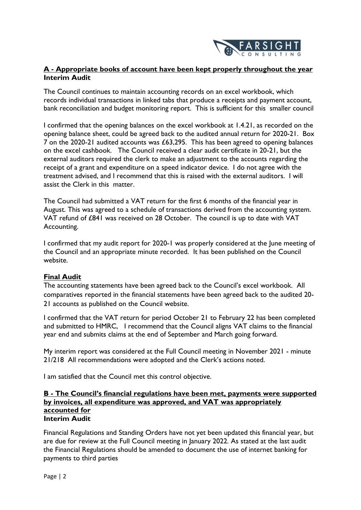

## **A - Appropriate books of account have been kept properly throughout the year Interim Audit**

The Council continues to maintain accounting records on an excel workbook, which records individual transactions in linked tabs that produce a receipts and payment account, bank reconciliation and budget monitoring report. This is sufficient for this smaller council

I confirmed that the opening balances on the excel workbook at 1.4.21, as recorded on the opening balance sheet, could be agreed back to the audited annual return for 2020-21. Box 7 on the 2020-21 audited accounts was £63,295. This has been agreed to opening balances on the excel cashbook. The Council received a clear audit certificate in 20-21, but the external auditors required the clerk to make an adjustment to the accounts regarding the receipt of a grant and expenditure on a speed indicator device. I do not agree with the treatment advised, and I recommend that this is raised with the external auditors. I will assist the Clerk in this matter.

The Council had submitted a VAT return for the first 6 months of the financial year in August. This was agreed to a schedule of transactions derived from the accounting system. VAT refund of £841 was received on 28 October. The council is up to date with VAT Accounting.

I confirmed that my audit report for 2020-1 was properly considered at the June meeting of the Council and an appropriate minute recorded. It has been published on the Council website.

## **Final Audit**

The accounting statements have been agreed back to the Council's excel workbook. All comparatives reported in the financial statements have been agreed back to the audited 20- 21 accounts as published on the Council website.

I confirmed that the VAT return for period October 21 to February 22 has been completed and submitted to HMRC, I recommend that the Council aligns VAT claims to the financial year end and submits claims at the end of September and March going forward.

My interim report was considered at the Full Council meeting in November 2021 - minute 21/218 All recommendations were adopted and the Clerk's actions noted.

I am satisfied that the Council met this control objective.

#### **B - The Council's financial regulations have been met, payments were supported by invoices, all expenditure was approved, and VAT was appropriately accounted for Interim Audit**

Financial Regulations and Standing Orders have not yet been updated this financial year, but are due for review at the Full Council meeting in January 2022. As stated at the last audit the Financial Regulations should be amended to document the use of internet banking for payments to third parties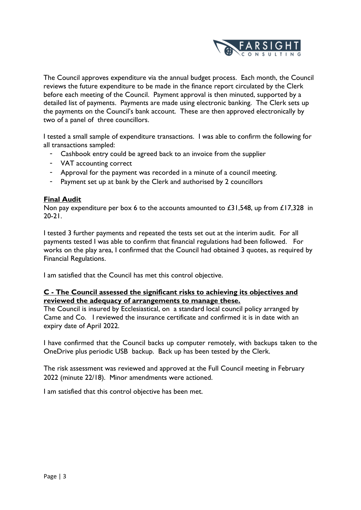

The Council approves expenditure via the annual budget process. Each month, the Council reviews the future expenditure to be made in the finance report circulated by the Clerk before each meeting of the Council. Payment approval is then minuted, supported by a detailed list of payments. Payments are made using electronic banking. The Clerk sets up the payments on the Council's bank account. These are then approved electronically by two of a panel of three councillors.

I tested a small sample of expenditure transactions. I was able to confirm the following for all transactions sampled:

- Cashbook entry could be agreed back to an invoice from the supplier
- VAT accounting correct
- Approval for the payment was recorded in a minute of a council meeting.
- Payment set up at bank by the Clerk and authorised by 2 councillors

### **Final Audit**

Non pay expenditure per box 6 to the accounts amounted to £31,548, up from £17,328 in 20-21.

I tested 3 further payments and repeated the tests set out at the interim audit. For all payments tested I was able to confirm that financial regulations had been followed. For works on the play area, I confirmed that the Council had obtained 3 quotes, as required by Financial Regulations.

I am satisfied that the Council has met this control objective.

### **C - The Council assessed the significant risks to achieving its objectives and reviewed the adequacy of arrangements to manage these.**

The Council is insured by Ecclesiastical, on a standard local council policy arranged by Came and Co. I reviewed the insurance certificate and confirmed it is in date with an expiry date of April 2022.

I have confirmed that the Council backs up computer remotely, with backups taken to the OneDrive plus periodic USB backup. Back up has been tested by the Clerk.

The risk assessment was reviewed and approved at the Full Council meeting in February 2022 (minute 22/18). Minor amendments were actioned.

I am satisfied that this control objective has been met.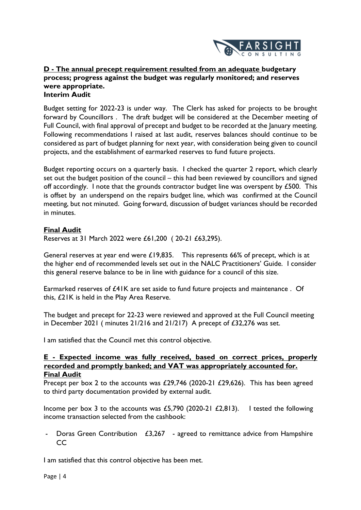

#### **D - The annual precept requirement resulted from an adequate budgetary process; progress against the budget was regularly monitored; and reserves were appropriate. Interim Audit**

Budget setting for 2022-23 is under way. The Clerk has asked for projects to be brought forward by Councillors . The draft budget will be considered at the December meeting of Full Council, with final approval of precept and budget to be recorded at the January meeting. Following recommendations I raised at last audit, reserves balances should continue to be considered as part of budget planning for next year, with consideration being given to council projects, and the establishment of earmarked reserves to fund future projects.

Budget reporting occurs on a quarterly basis. I checked the quarter 2 report, which clearly set out the budget position of the council – this had been reviewed by councillors and signed off accordingly. I note that the grounds contractor budget line was overspent by £500. This is offset by an underspend on the repairs budget line, which was confirmed at the Council meeting, but not minuted. Going forward, discussion of budget variances should be recorded in minutes.

## **Final Audit**

Reserves at 31 March 2022 were £61,200 ( 20-21 £63,295).

General reserves at year end were £19,835. This represents 66% of precept, which is at the higher end of recommended levels set out in the NALC Practitioners' Guide. I consider this general reserve balance to be in line with guidance for a council of this size.

Earmarked reserves of £41K are set aside to fund future projects and maintenance . Of this, £21K is held in the Play Area Reserve.

The budget and precept for 22-23 were reviewed and approved at the Full Council meeting in December 2021 ( minutes 21/216 and 21/217) A precept of £32,276 was set.

I am satisfied that the Council met this control objective.

### **E - Expected income was fully received, based on correct prices, properly recorded and promptly banked; and VAT was appropriately accounted for. Final Audit**

Precept per box 2 to the accounts was £29,746 (2020-21 £29,626). This has been agreed to third party documentation provided by external audit.

Income per box 3 to the accounts was £5,790 (2020-21  $\angle$  £2,813). I tested the following income transaction selected from the cashbook:

Doras Green Contribution  $£3,267$  - agreed to remittance advice from Hampshire CC

I am satisfied that this control objective has been met.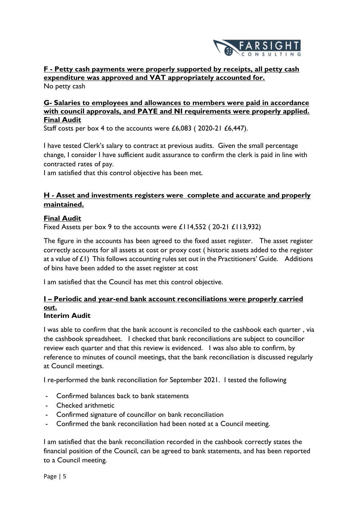

**F - Petty cash payments were properly supported by receipts, all petty cash expenditure was approved and VAT appropriately accounted for.** No petty cash

### **G- Salaries to employees and allowances to members were paid in accordance with council approvals, and PAYE and NI requirements were properly applied. Final Audit**

Staff costs per box 4 to the accounts were £6,083 ( 2020-21 £6,447).

I have tested Clerk's salary to contract at previous audits. Given the small percentage change, I consider I have sufficient audit assurance to confirm the clerk is paid in line with contracted rates of pay.

I am satisfied that this control objective has been met.

## **H - Asset and investments registers were complete and accurate and properly maintained.**

## **Final Audit**

Fixed Assets per box 9 to the accounts were £114,552 ( 20-21 £113,932)

The figure in the accounts has been agreed to the fixed asset register. The asset register correctly accounts for all assets at cost or proxy cost ( historic assets added to the register at a value of  $E(1)$  This follows accounting rules set out in the Practitioners' Guide. Additions of bins have been added to the asset register at cost

I am satisfied that the Council has met this control objective.

# **I – Periodic and year-end bank account reconciliations were properly carried out.**

## **Interim Audit**

I was able to confirm that the bank account is reconciled to the cashbook each quarter , via the cashbook spreadsheet. I checked that bank reconciliations are subject to councillor review each quarter and that this review is evidenced. I was also able to confirm, by reference to minutes of council meetings, that the bank reconciliation is discussed regularly at Council meetings.

I re-performed the bank reconciliation for September 2021. I tested the following

- Confirmed balances back to bank statements
- Checked arithmetic
- Confirmed signature of councillor on bank reconciliation
- Confirmed the bank reconciliation had been noted at a Council meeting.

I am satisfied that the bank reconciliation recorded in the cashbook correctly states the financial position of the Council, can be agreed to bank statements, and has been reported to a Council meeting.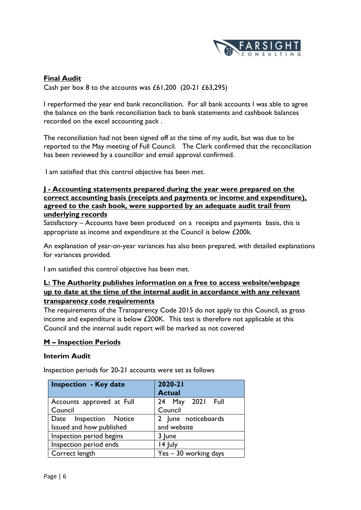

## **Final Audit**

Cash per box 8 to the accounts was  $£61,200$  (20-21  $£63,295)$ )

I reperformed the year end bank reconciliation. For all bank accounts I was able to agree the balance on the bank reconciliation back to bank statements and cashbook balances recorded on the excel accounting pack .

The reconciliation had not been signed off at the time of my audit, but was due to be reported to the May meeting of Full Council. The Clerk confirmed that the reconciliation has been reviewed by a councillor and email approval confirmed.

I am satisfied that this control objective has been met.

#### **J - Accounting statements prepared during the year were prepared on the correct accounting basis (receipts and payments or income and expenditure), agreed to the cash book, were supported by an adequate audit trail from underlying records**

Satisfactory – Accounts have been produced on a receipts and payments basis, this is appropriate as income and expenditure at the Council is below £200k.

An explanation of year-on-year variances has also been prepared, with detailed explanations for variances provided.

I am satisfied this control objective has been met.

## **L: The Authority publishes information on a free to access website/webpage up to date at the time of the internal audit in accordance with any relevant transparency code requirements**

The requirements of the Transparency Code 2015 do not apply to this Council, as gross income and expenditure is below £200K. This test is therefore not applicable at this Council and the internal audit report will be marked as not covered

#### **M – Inspection Periods**

#### **Interim Audit**

Inspection periods for 20-21 accounts were set as follows

| <b>Inspection - Key date</b> | 2020-21<br><b>Actual</b> |
|------------------------------|--------------------------|
| Accounts approved at Full    | 24 May 2021 Full         |
| Council                      | Council                  |
| Date Inspection Notice       | 2 June noticeboards      |
| Issued and how published     | and website              |
| Inspection period begins     | 3 June                   |
| Inspection period ends       | 14 July                  |
| Correct length               | Yes - 30 working days    |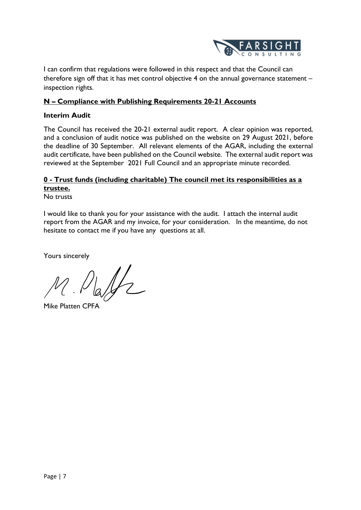

I can confirm that regulations were followed in this respect and that the Council can therefore sign off that it has met control objective 4 on the annual governance statement – inspection rights.

## **N – Compliance with Publishing Requirements 20-21 Accounts**

### **Interim Audit**

The Council has received the 20-21 external audit report. A clear opinion was reported, and a conclusion of audit notice was published on the website on 29 August 2021, before the deadline of 30 September. All relevant elements of the AGAR, including the external audit certificate, have been published on the Council website. The external audit report was reviewed at the September 2021 Full Council and an appropriate minute recorded.

# **0 - Trust funds (including charitable) The council met its responsibilities as a trustee.**

No trusts

I would like to thank you for your assistance with the audit. I attach the internal audit report from the AGAR and my invoice, for your consideration. In the meantime, do not hesitate to contact me if you have any questions at all.

Yours sincerely

Mike Platten CPFA